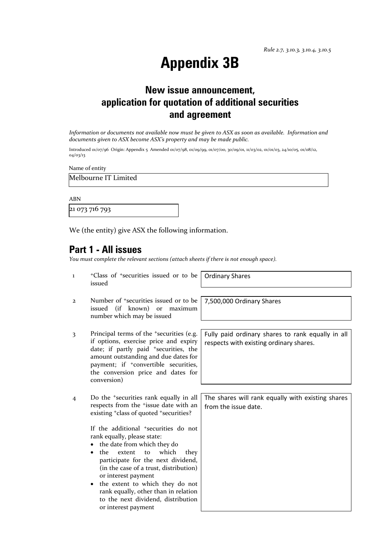## **Appendix 3B**

#### **New issue announcement, application for quotation of additional securities and agreement**

*Information or documents not available now must be given to ASX as soon as available. Information and documents given to ASX become ASX's property and may be made public.*

Introduced 01/07/96 Origin: Appendix 5 Amended 01/07/98, 01/09/99, 01/07/00, 30/09/01, 11/03/02, 01/01/03, 24/10/05, 01/08/12, 04/03/13

Name of entity

Melbourne IT Limited

ABN

21 073 716 793

We (the entity) give ASX the following information.

#### **Part 1 - All issues**

*You must complete the relevant sections (attach sheets if there is not enough space).*

1 +Class of +securities issued or to be issued

2 Number of +securities issued or to be issued (if known) or maximum number which may be issued

- 3 Principal terms of the +securities (e.g. if options, exercise price and expiry date; if partly paid <sup>+</sup>securities, the amount outstanding and due dates for payment; if <sup>+</sup>convertible securities, the conversion price and dates for conversion)
- 4 Do the +securities rank equally in all respects from the +issue date with an existing <sup>+</sup>class of quoted <sup>+</sup>securities?

If the additional <sup>+</sup>securities do not rank equally, please state:

- the date from which they do
- the extent to which they participate for the next dividend, (in the case of a trust, distribution) or interest payment
- the extent to which they do not rank equally, other than in relation to the next dividend, distribution or interest payment

Ordinary Shares

7,500,000 Ordinary Shares

Fully paid ordinary shares to rank equally in all respects with existing ordinary shares.

The shares will rank equally with existing shares from the issue date.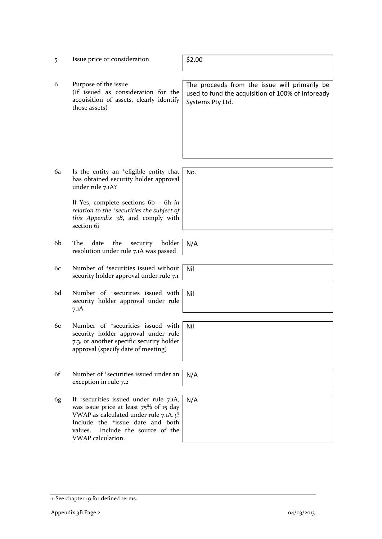- 5 Issue price or consideration | \$2.00
- 6 Purpose of the issue (If issued as consideration for the acquisition of assets, clearly identify those assets)

The proceeds from the issue will primarily be used to fund the acquisition of 100% of Infoready Systems Pty Ltd.

6a Is the entity an +eligible entity that has obtained security holder approval under rule 7.1A? No.

> If Yes, complete sections 6b – 6h *in relation to the +securities the subject of this Appendix 3B*, and comply with section 6i

- 6b The date the security holder resolution under rule 7.1A was passed
- 6c Number of +securities issued without security holder approval under rule 7.1
- 6d Number of +securities issued with security holder approval under rule 7.1A
- 6e Number of +securities issued with security holder approval under rule 7.3, or another specific security holder approval (specify date of meeting)
- 6f Number of <sup>+</sup>securities issued under an exception in rule 7.2
- 6g If +securities issued under rule 7.1A, was issue price at least 75% of 15 day VWAP as calculated under rule 7.1A.3? Include the +issue date and both values. Include the source of the VWAP calculation.



Nil

Nil

Nil

N/A

N/A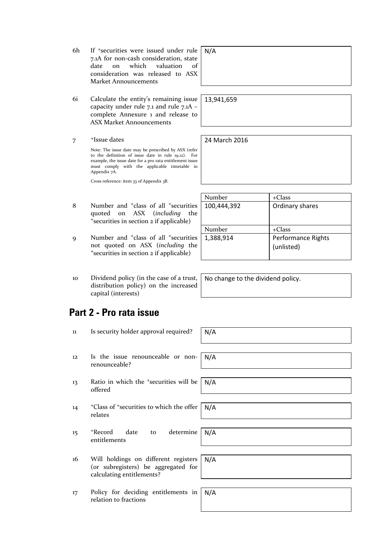- 6h If +securities were issued under rule 7.1A for non-cash consideration, state date on which valuation of consideration was released to ASX Market Announcements
- 6i Calculate the entity's remaining issue capacity under rule 7.1 and rule 7.1A – complete Annexure 1 and release to ASX Market Announcements
- 7 +Issue dates

Note: The issue date may be prescribed by ASX (refer to the definition of issue date in rule 19.12). For example, the issue date for a pro rata entitlement issue must comply with the applicable timetable in Appendix 7A.

Cross reference: item 33 of Appendix 3B.

- 8 Number and <sup>+</sup>class of all <sup>+</sup>securities quoted on ASX (*including* the <sup>+</sup>securities in section 2 if applicable)
- 9 Number and <sup>+</sup>class of all <sup>+</sup>securities not quoted on ASX (*including* the <sup>+</sup>securities in section 2 if applicable)
- 10 Dividend policy (in the case of a trust, distribution policy) on the increased capital (interests)

## **Part 2 - Pro rata issue**

- 11 Is security holder approval required?  $N/A$
- 12 Is the issue renounceable or nonrenounceable?
- 13 Ratio in which the <sup>+</sup>securities will be offered N/A
- <sup>+</sup>Class of <sup>+</sup>securities to which the offer relates
- 15 <sup>+</sup>Record date to determine entitlements
- 16 Will holdings on different registers (or subregisters) be aggregated for calculating entitlements?
- 17 Policy for deciding entitlements in relation to fractions

| N/A |  |  |  |
|-----|--|--|--|
|     |  |  |  |
|     |  |  |  |
|     |  |  |  |

13,941,659

24 March 2016

| Number      | $+C$ lass                        |
|-------------|----------------------------------|
| 100,444,392 | Ordinary shares                  |
| Number      | $+Class$                         |
| 1,388,914   | Performance Rights<br>(unlisted) |

No change to the dividend policy.

N/A

N/A

N/A

N/A

N/A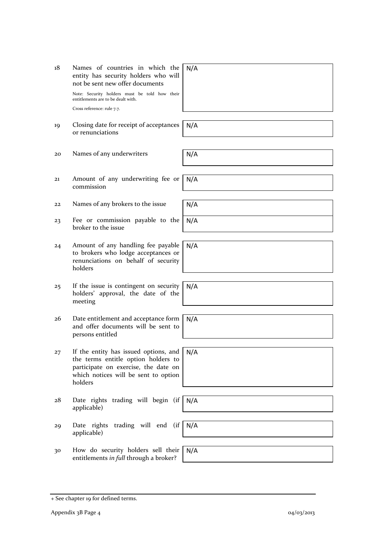+ See chapter 19 for defined terms.

- 18 Names of countries in which the entity has security holders who will not be sent new offer documents Note: Security holders must be told how their entitlements are to be dealt with. Cross reference: rule 7.7. 19 Closing date for receipt of acceptances or renunciations
- 20 Names of any underwriters **N/A**
- 21 Amount of any underwriting fee or commission
- 22 Names of any brokers to the issue  $N/A$
- 23 Fee or commission payable to the broker to the issue
- 24 Amount of any handling fee payable to brokers who lodge acceptances or renunciations on behalf of security holders
- 25 If the issue is contingent on security holders' approval, the date of the meeting
- 26 Date entitlement and acceptance form and offer documents will be sent to persons entitled
- 27 If the entity has issued options, and the terms entitle option holders to participate on exercise, the date on which notices will be sent to option holders
- 28 Date rights trading will begin (if applicable)
- 29 Date rights trading will end (if applicable)
- 30 How do security holders sell their entitlements *in full* through a broker?

N/A

N/A

N/A

N/A

N/A

N/A

N/A

N/A

N/A

N/A

| ,我们也不会有一个人的事情。""我们的人,我们也不会有一个人的人,我们也不会有一个人的人,我们也不会有一个人的人,我们也不会有一个人的人,我们也不会有一个人的人, |  | ______ |
|-----------------------------------------------------------------------------------|--|--------|
|                                                                                   |  |        |
|                                                                                   |  |        |

N/A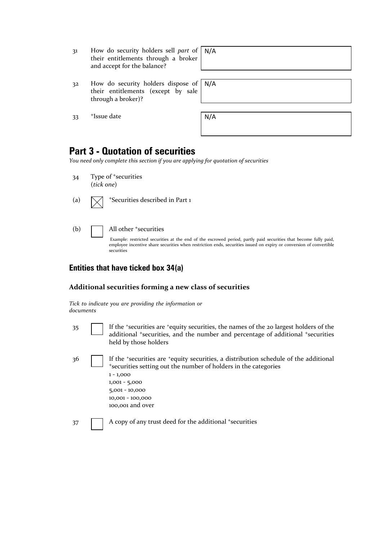| 31                          | How do security holders sell part of |  |
|-----------------------------|--------------------------------------|--|
|                             | their entitlements through a broker  |  |
| and accept for the balance? |                                      |  |

32 How do security holders dispose of their entitlements (except by sale through a broker)?

33 <sup>+</sup>Issue date

| × |  |
|---|--|
|---|--|

N/A

N/A

#### **Part 3 - Quotation of securities**

*You need only complete this section if you are applying for quotation of securities*

- 34 Type of <sup>+</sup>securities (*tick one*)
- (a)  $\sqrt{\phantom{a}}$  +Securities described in Part 1

(b) All other <sup>+</sup>securities

Example: restricted securities at the end of the escrowed period, partly paid securities that become fully paid, employee incentive share securities when restriction ends, securities issued on expiry or conversion of convertible securities

#### **Entities that have ticked box 34(a)**

#### **Additional securities forming a new class of securities**

*Tick to indicate you are providing the information or documents*

- 
- 35 If the +securities are +equity securities, the names of the 20 largest holders of the additional <sup>+</sup>securities, and the number and percentage of additional <sup>+</sup>securities held by those holders
- 36 If the \*securities are \*equity securities, a distribution schedule of the additional <sup>+</sup>securities setting out the number of holders in the categories 1 - 1,000 1,001 - 5,000 5,001 - 10,000 10,001 - 100,000 100,001 and over

37 A copy of any trust deed for the additional +securities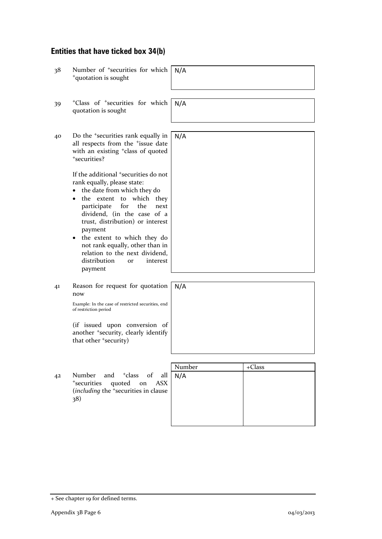## **Entities that have ticked box 34(b)**

| 38 | Number of <sup>+</sup> securities for which<br><sup>+</sup> quotation is sought                                                                                                                                                                                                                                                                                           | N/A           |          |
|----|---------------------------------------------------------------------------------------------------------------------------------------------------------------------------------------------------------------------------------------------------------------------------------------------------------------------------------------------------------------------------|---------------|----------|
| 39 | <sup>+</sup> Class of <sup>+</sup> securities for which<br>quotation is sought                                                                                                                                                                                                                                                                                            | N/A           |          |
| 40 | Do the <sup>+</sup> securities rank equally in<br>all respects from the <sup>+</sup> issue date<br>with an existing <sup>+</sup> class of quoted<br>*securities?<br>If the additional <sup>+</sup> securities do not<br>rank equally, please state:                                                                                                                       | N/A           |          |
|    | the date from which they do<br>$\bullet$<br>the extent to which they<br>$\bullet$<br>for<br>the<br>participate<br>next<br>dividend, (in the case of a<br>trust, distribution) or interest<br>payment<br>the extent to which they do<br>$\bullet$<br>not rank equally, other than in<br>relation to the next dividend,<br>distribution<br>interest<br><b>or</b><br>payment |               |          |
| 41 | Reason for request for quotation<br>now<br>Example: In the case of restricted securities, end<br>of restriction period                                                                                                                                                                                                                                                    | N/A           |          |
|    | (if issued upon conversion of<br>another <sup>+</sup> security, clearly identify<br>that other 'security)                                                                                                                                                                                                                                                                 |               |          |
| 42 | Number<br><sup>+</sup> class of<br>and<br>all<br>quoted on<br><sup>+</sup> securities<br><b>ASX</b><br>(including the <sup>+</sup> securities in clause<br>38)                                                                                                                                                                                                            | Number<br>N/A | $+Class$ |
|    |                                                                                                                                                                                                                                                                                                                                                                           |               |          |

<sup>+</sup> See chapter 19 for defined terms.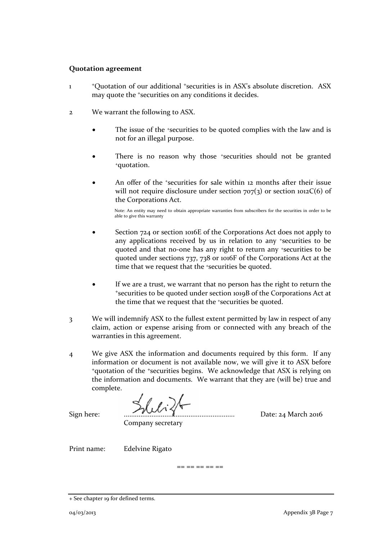#### **Quotation agreement**

- 1 <sup>+</sup>Quotation of our additional +securities is in ASX's absolute discretion. ASX may quote the +securities on any conditions it decides.
- 2 We warrant the following to ASX.
	- The issue of the *\*securities* to be quoted complies with the law and is not for an illegal purpose.
	- There is no reason why those +securities should not be granted +quotation.
	- An offer of the *\*securities* for sale within 12 months after their issue will not require disclosure under section  $707(3)$  or section  $1012C(6)$  of the Corporations Act.

Note: An entity may need to obtain appropriate warranties from subscribers for the securities in order to be able to give this warranty

- Section 724 or section 1016E of the Corporations Act does not apply to any applications received by us in relation to any +securities to be quoted and that no-one has any right to return any +securities to be quoted under sections 737, 738 or 1016F of the Corporations Act at the time that we request that the <sup>+</sup>securities be quoted.
- If we are a trust, we warrant that no person has the right to return the <sup>+</sup>securities to be quoted under section 1019B of the Corporations Act at the time that we request that the +securities be quoted.
- 3 We will indemnify ASX to the fullest extent permitted by law in respect of any claim, action or expense arising from or connected with any breach of the warranties in this agreement.
- 4 We give ASX the information and documents required by this form. If any information or document is not available now, we will give it to ASX before <sup>+</sup>quotation of the +securities begins. We acknowledge that ASX is relying on the information and documents. We warrant that they are (will be) true and complete.

Sign here: ............................................................ Date: 24 March 2016

Company secretary

Print name: Edelvine Rigato

== == == == ==

<sup>+</sup> See chapter 19 for defined terms.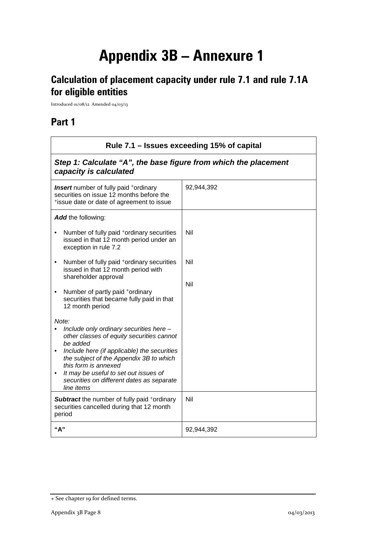# **Appendix 3B – Annexure 1**

## **Calculation of placement capacity under rule 7.1 and rule 7.1A for eligible entities**

Introduced 01/08/12 Amended 04/03/13

## **Part 1**

| Rule 7.1 – Issues exceeding 15% of capital                                                                                                                                                                                                                                                                                                   |            |  |  |
|----------------------------------------------------------------------------------------------------------------------------------------------------------------------------------------------------------------------------------------------------------------------------------------------------------------------------------------------|------------|--|--|
| Step 1: Calculate "A", the base figure from which the placement<br>capacity is calculated                                                                                                                                                                                                                                                    |            |  |  |
| <b>Insert</b> number of fully paid +ordinary<br>securities on issue 12 months before the<br>*issue date or date of agreement to issue                                                                                                                                                                                                        | 92,944,392 |  |  |
| Add the following:                                                                                                                                                                                                                                                                                                                           |            |  |  |
| Number of fully paid <sup>+</sup> ordinary securities<br>issued in that 12 month period under an<br>exception in rule 7.2                                                                                                                                                                                                                    | Nil        |  |  |
| Number of fully paid <sup>+</sup> ordinary securities<br>issued in that 12 month period with<br>shareholder approval                                                                                                                                                                                                                         | Nil<br>Nil |  |  |
| Number of partly paid +ordinary<br>$\bullet$<br>securities that became fully paid in that<br>12 month period                                                                                                                                                                                                                                 |            |  |  |
| Note:<br>Include only ordinary securities here -<br>other classes of equity securities cannot<br>be added<br>Include here (if applicable) the securities<br>$\bullet$<br>the subject of the Appendix 3B to which<br>this form is annexed<br>It may be useful to set out issues of<br>securities on different dates as separate<br>line items |            |  |  |
| <b>Subtract</b> the number of fully paid +ordinary<br>securities cancelled during that 12 month<br>period                                                                                                                                                                                                                                    | Nil        |  |  |
| "A"                                                                                                                                                                                                                                                                                                                                          | 92,944,392 |  |  |

<sup>+</sup> See chapter 19 for defined terms.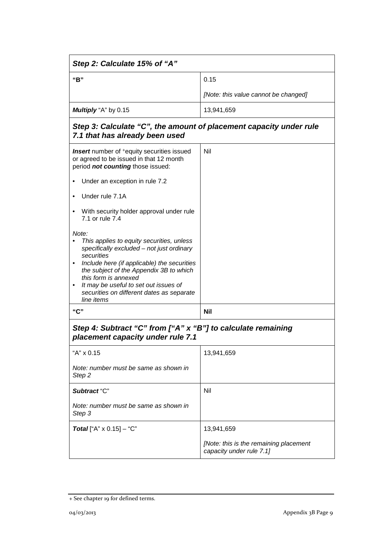| Step 2: Calculate 15% of "A"                                                                                                                                                                                                                                                                                                                                  |                                                                    |  |  |
|---------------------------------------------------------------------------------------------------------------------------------------------------------------------------------------------------------------------------------------------------------------------------------------------------------------------------------------------------------------|--------------------------------------------------------------------|--|--|
| "B"                                                                                                                                                                                                                                                                                                                                                           | 0.15                                                               |  |  |
|                                                                                                                                                                                                                                                                                                                                                               | [Note: this value cannot be changed]                               |  |  |
| Multiply "A" by 0.15                                                                                                                                                                                                                                                                                                                                          | 13,941,659                                                         |  |  |
| Step 3: Calculate "C", the amount of placement capacity under rule<br>7.1 that has already been used                                                                                                                                                                                                                                                          |                                                                    |  |  |
| <b>Insert</b> number of <sup>+</sup> equity securities issued<br>or agreed to be issued in that 12 month<br>period not counting those issued:                                                                                                                                                                                                                 | Nil                                                                |  |  |
| Under an exception in rule 7.2                                                                                                                                                                                                                                                                                                                                |                                                                    |  |  |
| Under rule 7.1A                                                                                                                                                                                                                                                                                                                                               |                                                                    |  |  |
| With security holder approval under rule<br>$\bullet$<br>7.1 or rule 7.4                                                                                                                                                                                                                                                                                      |                                                                    |  |  |
| Note:<br>This applies to equity securities, unless<br>specifically excluded - not just ordinary<br>securities<br>Include here (if applicable) the securities<br>$\bullet$<br>the subject of the Appendix 3B to which<br>this form is annexed<br>It may be useful to set out issues of<br>$\bullet$<br>securities on different dates as separate<br>line items |                                                                    |  |  |
| "C"                                                                                                                                                                                                                                                                                                                                                           | <b>Nil</b>                                                         |  |  |
| Step 4: Subtract "C" from ["A" x "B"] to calculate remaining<br>placement capacity under rule 7.1                                                                                                                                                                                                                                                             |                                                                    |  |  |
| "A" x 0.15                                                                                                                                                                                                                                                                                                                                                    | 13,941,659                                                         |  |  |
| Note: number must be same as shown in<br>Step 2                                                                                                                                                                                                                                                                                                               |                                                                    |  |  |
| Subtract "C"                                                                                                                                                                                                                                                                                                                                                  | Nil                                                                |  |  |
| Note: number must be same as shown in<br>Step 3                                                                                                                                                                                                                                                                                                               |                                                                    |  |  |
| <b>Total</b> ["A" $\times$ 0.15] - "C"                                                                                                                                                                                                                                                                                                                        | 13,941,659                                                         |  |  |
|                                                                                                                                                                                                                                                                                                                                                               | [Note: this is the remaining placement<br>capacity under rule 7.1] |  |  |

<sup>+</sup> See chapter 19 for defined terms.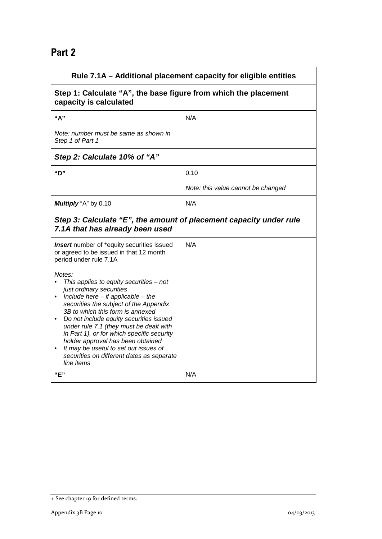### **Part 2**

| Rule 7.1A – Additional placement capacity for eligible entities                                                                                                                                                                                                                                                                                                                                                                                                                                                                                                                                                            |                                    |  |
|----------------------------------------------------------------------------------------------------------------------------------------------------------------------------------------------------------------------------------------------------------------------------------------------------------------------------------------------------------------------------------------------------------------------------------------------------------------------------------------------------------------------------------------------------------------------------------------------------------------------------|------------------------------------|--|
| Step 1: Calculate "A", the base figure from which the placement<br>capacity is calculated                                                                                                                                                                                                                                                                                                                                                                                                                                                                                                                                  |                                    |  |
| "A"                                                                                                                                                                                                                                                                                                                                                                                                                                                                                                                                                                                                                        | N/A                                |  |
| Note: number must be same as shown in<br>Step 1 of Part 1                                                                                                                                                                                                                                                                                                                                                                                                                                                                                                                                                                  |                                    |  |
| Step 2: Calculate 10% of "A"                                                                                                                                                                                                                                                                                                                                                                                                                                                                                                                                                                                               |                                    |  |
| "D"                                                                                                                                                                                                                                                                                                                                                                                                                                                                                                                                                                                                                        | 0.10                               |  |
|                                                                                                                                                                                                                                                                                                                                                                                                                                                                                                                                                                                                                            | Note: this value cannot be changed |  |
| Multiply "A" by 0.10                                                                                                                                                                                                                                                                                                                                                                                                                                                                                                                                                                                                       | N/A                                |  |
| Step 3: Calculate "E", the amount of placement capacity under rule<br>7.1A that has already been used                                                                                                                                                                                                                                                                                                                                                                                                                                                                                                                      |                                    |  |
| <b>Insert</b> number of <sup>+</sup> equity securities issued<br>or agreed to be issued in that 12 month<br>period under rule 7.1A<br>Notes:<br>This applies to equity securities $-$ not<br>just ordinary securities<br>Include here $-$ if applicable $-$ the<br>securities the subject of the Appendix<br>3B to which this form is annexed<br>Do not include equity securities issued<br>under rule 7.1 (they must be dealt with<br>in Part 1), or for which specific security<br>holder approval has been obtained<br>It may be useful to set out issues of<br>securities on different dates as separate<br>line items | N/A                                |  |
| "E"                                                                                                                                                                                                                                                                                                                                                                                                                                                                                                                                                                                                                        | N/A                                |  |

<sup>+</sup> See chapter 19 for defined terms.